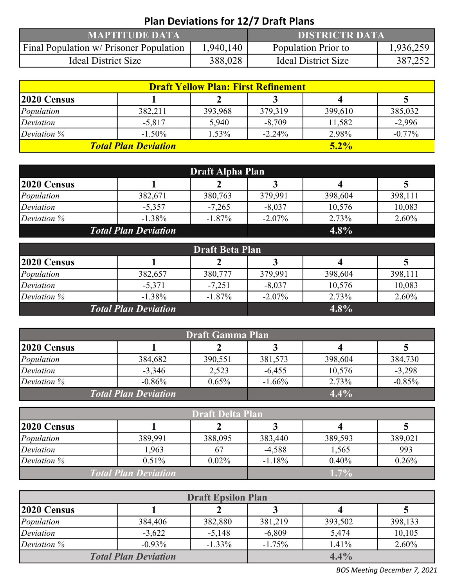| <b>Plan Deviations for 12/7 Draft Plans</b> |                       |                            |           |  |  |  |
|---------------------------------------------|-----------------------|----------------------------|-----------|--|--|--|
| <b>MAPTITUDE DATA</b>                       | <b>DISTRICTR DATA</b> |                            |           |  |  |  |
| Final Population w/ Prisoner Population     | 1,940,140             | Population Prior to        | 1,936,259 |  |  |  |
| <b>Ideal District Size</b>                  | 388,028               | <b>Ideal District Size</b> | 387,252   |  |  |  |

| <b>Draft Yellow Plan: First Refinement</b> |           |          |          |         |          |  |  |
|--------------------------------------------|-----------|----------|----------|---------|----------|--|--|
| $ 2020 \text{ Census} $                    |           |          |          |         |          |  |  |
| Population                                 | 382,211   | 393,968  | 379,319  | 399,610 | 385,032  |  |  |
| Deviation                                  | $-5,817$  | 5,940    | $-8,709$ | 11,582  | $-2,996$ |  |  |
| Deviation $%$                              | $-1.50\%$ | $1.53\%$ | $-2.24%$ | 2.98%   | $-0.77%$ |  |  |
| <b>Total Plan Deviation</b>                |           | $5.2\%$  |          |         |          |  |  |

| Draft Alpha Plan            |           |           |           |         |         |  |  |
|-----------------------------|-----------|-----------|-----------|---------|---------|--|--|
| $ 2020 \text{ Census} $     |           |           |           |         |         |  |  |
| Population                  | 382,671   | 380,763   | 379,991   | 398,604 | 398,111 |  |  |
| Deviation                   | $-5,357$  | $-7,265$  | $-8,037$  | 10,576  | 10,083  |  |  |
| Deviation $%$               | $-1.38\%$ | $-1.87\%$ | $-2.07\%$ | 2.73%   | 2.60%   |  |  |
| <b>Total Plan Deviation</b> |           | $4.8\%$   |           |         |         |  |  |

| <b>Draft Beta Plan</b>      |          |           |           |         |         |  |  |
|-----------------------------|----------|-----------|-----------|---------|---------|--|--|
| $ 2020 \text{ Census} $     |          |           |           |         |         |  |  |
| Population                  | 382,657  | 380,777   | 379,991   | 398,604 | 398,111 |  |  |
| Deviation                   | $-5,371$ | $-7,251$  | $-8,037$  | 10,576  | 10,083  |  |  |
| Deviation $%$               | $-1.38%$ | $-1.87\%$ | $-2.07\%$ | 2.73%   | 2.60%   |  |  |
| <b>Total Plan Deviation</b> |          | $4.8\%$   |           |         |         |  |  |

| Draft Gamma Plan            |          |          |          |         |          |  |
|-----------------------------|----------|----------|----------|---------|----------|--|
| $ 2020 \text{ Census} $     |          |          |          |         |          |  |
| Population                  | 384,682  | 390,551  | 381,573  | 398,604 | 384,730  |  |
| Deviation                   | $-3,346$ | 2,523    | $-6,455$ | 10,576  | $-3,298$ |  |
| Deviation $%$               | $-0.86%$ | $0.65\%$ | $-1.66%$ | 2.73%   | $-0.85%$ |  |
| <b>Total Plan Deviation</b> |          | $4.4\%$  |          |         |          |  |

| <b>Draft Delta Plan</b>     |          |          |          |         |         |  |
|-----------------------------|----------|----------|----------|---------|---------|--|
| $ 2020 \text{ Census} $     |          |          |          |         |         |  |
| Population                  | 389,991  | 388,095  | 383,440  | 389,593 | 389,021 |  |
| Deviation                   | 1,963    | 67       | $-4,588$ | 1,565   | 993     |  |
| Deviation $%$               | $0.51\%$ | $0.02\%$ | $-1.18%$ | 0.40%   | 0.26%   |  |
| <b>Total Plan Deviation</b> |          | $1.7\%$  |          |         |         |  |

| <b>Draft Epsilon Plan</b>   |          |           |          |         |          |  |  |
|-----------------------------|----------|-----------|----------|---------|----------|--|--|
| $ 2020 \text{ Census} $     |          |           |          |         |          |  |  |
| Population                  | 384,406  | 382,880   | 381,219  | 393,502 | 398,133  |  |  |
| Deviation                   | $-3,622$ | $-5,148$  | $-6,809$ | 5,474   | 10,105   |  |  |
| Deviation $%$               | $-0.93%$ | $-1.33\%$ | $-1.75%$ | 1.41%   | $2.60\%$ |  |  |
| <b>Total Plan Deviation</b> |          | 4.4%      |          |         |          |  |  |

BOS Meeting December 7, 2021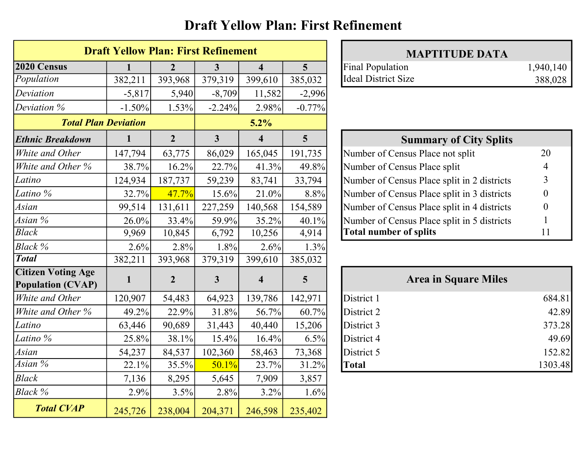### Draft Yellow Plan: First Refinement

|                                                       | <b>Draft Yellow Plan: First Refinement</b> |                |                         |                         |                | <b>MAPTITUDE DATA</b>                       |                |
|-------------------------------------------------------|--------------------------------------------|----------------|-------------------------|-------------------------|----------------|---------------------------------------------|----------------|
| 2020 Census                                           |                                            | 2              | 3                       | $\overline{\mathbf{4}}$ | 5 <sup>5</sup> | <b>Final Population</b>                     | 1,940,140      |
| Population                                            | 382,211                                    | 393,968        | 379,319                 | 399,610                 | 385,032        | <b>Ideal District Size</b>                  | 388,028        |
| Deviation                                             | $-5,817$                                   | 5,940          | $-8,709$                | 11,582                  | $-2,996$       |                                             |                |
| Deviation %                                           | $-1.50%$                                   | 1.53%          | $-2.24%$                | 2.98%                   | $-0.77%$       |                                             |                |
| <b>Total Plan Deviation</b>                           |                                            |                |                         | 5.2%                    |                |                                             |                |
| <b>Ethnic Breakdown</b>                               |                                            | $\overline{2}$ | $\overline{\mathbf{3}}$ | $\overline{\mathbf{4}}$ | 5 <sup>5</sup> | <b>Summary of City Splits</b>               |                |
| White and Other                                       | 147,794                                    | 63,775         | 86,029                  | 165,045                 | 191,735        | Number of Census Place not split            | 20             |
| White and Other %                                     | 38.7%                                      | 16.2%          | 22.7%                   | 41.3%                   | 49.8%          | Number of Census Place split                |                |
| Latino                                                | 124,934                                    | 187,737        | 59,239                  | 83,741                  | 33,794         | Number of Census Place split in 2 districts | 3              |
| Latino %                                              | 32.7%                                      | 47.7%          | 15.6%                   | 21.0%                   | 8.8%           | Number of Census Place split in 3 districts | $\overline{0}$ |
| Asian                                                 | 99,514                                     | 131,611        | 227,259                 | 140,568                 | 154,589        | Number of Census Place split in 4 districts | $\overline{0}$ |
| Asian %                                               | 26.0%                                      | 33.4%          | 59.9%                   | 35.2%                   | 40.1%          | Number of Census Place split in 5 districts |                |
| <b>Black</b>                                          | 9,969                                      | 10,845         | 6,792                   | 10,256                  | 4,914          | <b>Total number of splits</b>               | 11             |
| Black %                                               | 2.6%                                       | 2.8%           | 1.8%                    | 2.6%                    | 1.3%           |                                             |                |
| <b>Total</b>                                          | 382,211                                    | 393,968        | 379,319                 | 399,610                 | 385,032        |                                             |                |
| <b>Citizen Voting Age</b><br><b>Population (CVAP)</b> |                                            | $\overline{2}$ | $\mathbf{3}$            | $\overline{\mathbf{4}}$ | 5 <sup>5</sup> | <b>Area in Square Miles</b>                 |                |
| White and Other                                       | 120,907                                    | 54,483         | 64,923                  | 139,786                 | 142,971        | District 1                                  | 684.81         |
| White and Other %                                     | 49.2%                                      | 22.9%          | 31.8%                   | 56.7%                   | 60.7%          | District 2                                  | 42.89          |
| Latino                                                | 63,446                                     | 90,689         | 31,443                  | 40,440                  | 15,206         | District 3                                  | 373.28         |
| Latino %                                              | 25.8%                                      | 38.1%          | 15.4%                   | 16.4%                   | 6.5%           | District 4                                  | 49.69          |
| Asian                                                 | 54,237                                     | 84,537         | 102,360                 | 58,463                  | 73,368         | District 5                                  | 152.82         |
| Asian $\%$                                            | 22.1%                                      | 35.5%          | 50.1%                   | 23.7%                   | 31.2%          | Total                                       | 1303.48        |
| <b>Black</b>                                          | 7,136                                      | 8,295          | 5,645                   | 7,909                   | 3,857          |                                             |                |
| Black %                                               | 2.9%                                       | 3.5%           | 2.8%                    | 3.2%                    | 1.6%           |                                             |                |
| <b>Total CVAP</b>                                     | 245,726                                    | 238,004        | 204,371                 | 246,598                 | 235,402        |                                             |                |

| <b>MAPTITUDE DATA</b> |      |
|-----------------------|------|
| l Population          | 1,94 |
| l District Size       | 38   |

| <b>Summary of City Splits</b>               |    |
|---------------------------------------------|----|
| Number of Census Place not split            | 20 |
| Number of Census Place split                | 4  |
| Number of Census Place split in 2 districts | 3  |
| Number of Census Place split in 3 districts |    |
| Number of Census Place split in 4 districts |    |
| Number of Census Place split in 5 districts |    |
| <b>Total number of splits</b>               |    |

|              | <b>Area in Square Miles</b> |         |
|--------------|-----------------------------|---------|
| District 1   |                             | 684.81  |
| District 2   |                             | 42.89   |
| District 3   |                             | 373.28  |
| District 4   |                             | 49.69   |
| District 5   |                             | 152.82  |
| <b>Total</b> |                             | 1303.48 |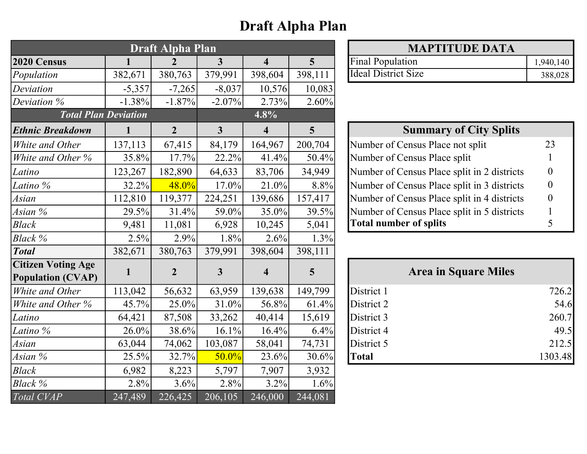# Draft Alpha Plan

| <b>Draft Alpha Plan</b>                               |              |                |                         |                         | <b>MAPTITUDE DATA</b> |                                             |                  |
|-------------------------------------------------------|--------------|----------------|-------------------------|-------------------------|-----------------------|---------------------------------------------|------------------|
| 2020 Census                                           |              | $\overline{2}$ | 3                       | $\overline{\mathbf{4}}$ | 5 <sup>5</sup>        | <b>Final Population</b>                     | 1,940,140        |
| Population                                            | 382,671      | 380,763        | 379,991                 | 398,604                 | 398,111               | <b>Ideal District Size</b>                  | 388,028          |
| Deviation                                             | $-5,357$     | $-7,265$       | $-8,037$                | 10,576                  | 10,083                |                                             |                  |
| Deviation %                                           | $-1.38%$     | $-1.87%$       | $-2.07\%$               | 2.73%                   | 2.60%                 |                                             |                  |
| <b>Total Plan Deviation</b>                           |              |                |                         | 4.8%                    |                       |                                             |                  |
| <b>Ethnic Breakdown</b>                               | $\mathbf{1}$ | $\overline{2}$ | $\overline{\mathbf{3}}$ | $\overline{\mathbf{4}}$ | 5                     | <b>Summary of City Splits</b>               |                  |
| White and Other                                       | 137,113      | 67,415         | 84,179                  | 164,967                 | 200,704               | Number of Census Place not split            | 23               |
| White and Other %                                     | 35.8%        | 17.7%          | 22.2%                   | 41.4%                   | 50.4%                 | Number of Census Place split                |                  |
| Latino                                                | 123,267      | 182,890        | 64,633                  | 83,706                  | 34,949                | Number of Census Place split in 2 districts | $\theta$         |
| Latino %                                              | 32.2%        | 48.0%          | $17.0\%$                | 21.0%                   | 8.8%                  | Number of Census Place split in 3 districts | $\boldsymbol{0}$ |
| Asian                                                 | 112,810      | 119,377        | 224,251                 | 139,686                 | 157,417               | Number of Census Place split in 4 districts | $\theta$         |
| Asian %                                               | 29.5%        | 31.4%          | 59.0%                   | $35.0\%$                | 39.5%                 | Number of Census Place split in 5 districts |                  |
| <b>Black</b>                                          | 9,481        | 11,081         | 6,928                   | 10,245                  | 5,041                 | <b>Total number of splits</b>               | 5                |
| Black %                                               | 2.5%         | 2.9%           | 1.8%                    | 2.6%                    | 1.3%                  |                                             |                  |
| <b>Total</b>                                          | 382,671      | 380,763        | 379,991                 | 398,604                 | 398,111               |                                             |                  |
| <b>Citizen Voting Age</b><br><b>Population (CVAP)</b> | $\mathbf{1}$ | $\overline{2}$ | $\mathbf{3}$            | $\overline{\mathbf{4}}$ | 5                     | <b>Area in Square Miles</b>                 |                  |
| White and Other                                       | 113,042      | 56,632         | 63,959                  | 139,638                 | 149,799               | District 1                                  | 726.2            |
| White and Other %                                     | 45.7%        | 25.0%          | $31.0\%$                | 56.8%                   | 61.4%                 | District 2                                  | 54.6             |
| Latino                                                | 64,421       | 87,508         | 33,262                  | 40,414                  | 15,619                | District 3                                  | 260.7            |
| Latino %                                              | 26.0%        | 38.6%          | 16.1%                   | 16.4%                   | 6.4%                  | District 4                                  | 49.5             |
| Asian                                                 | 63,044       | 74,062         | 103,087                 | 58,041                  | 74,731                | District 5                                  | 212.5            |
| Asian %                                               | 25.5%        | 32.7%          | $50.0\%$                | 23.6%                   | 30.6%                 | <b>Total</b>                                | 1303.48          |
| <b>Black</b>                                          | 6,982        | 8,223          | 5,797                   | 7,907                   | 3,932                 |                                             |                  |
| Black %                                               | 2.8%         | 3.6%           | 2.8%                    | 3.2%                    | 1.6%                  |                                             |                  |
| Total CVAP                                            | 247,489      | 226,425        | 206,105                 | 246,000                 | 244,081               |                                             |                  |

| <b>MAPTITUDE DATA</b>      |           |  |  |  |  |
|----------------------------|-----------|--|--|--|--|
| <b>Final Population</b>    | 1,940,140 |  |  |  |  |
| <b>Ideal District Size</b> | 388,028   |  |  |  |  |

| <b>Summary of City Splits</b>               |    |
|---------------------------------------------|----|
| Number of Census Place not split            | 23 |
| Number of Census Place split                |    |
| Number of Census Place split in 2 districts |    |
| Number of Census Place split in 3 districts |    |
| Number of Census Place split in 4 districts |    |
| Number of Census Place split in 5 districts |    |
| <b>Total number of splits</b>               |    |

|              | <b>Area in Square Miles</b> |
|--------------|-----------------------------|
| District 1   | 726.2                       |
| District 2   | 54.6                        |
| District 3   | 260.7                       |
| District 4   | 49.5                        |
| District 5   | 212.5                       |
| <b>Total</b> | 1303.48                     |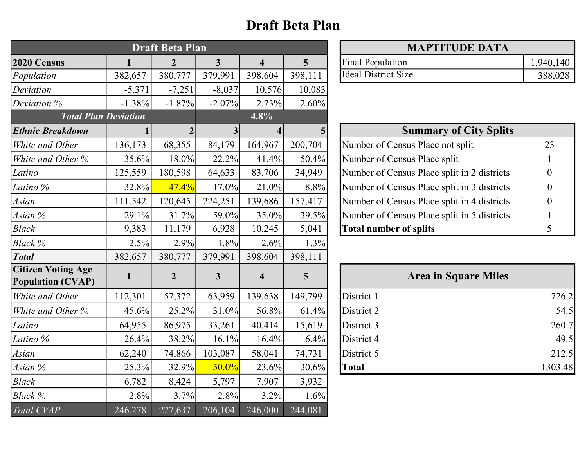### Draft Beta Plan

| <b>Draft Beta Plan</b>                                |                |                  |                         |                         |                 | <b>MAPTITUDE DATA</b>                       |           |
|-------------------------------------------------------|----------------|------------------|-------------------------|-------------------------|-----------------|---------------------------------------------|-----------|
| 2020 Census                                           | $\blacksquare$ | $\overline{2}$   | $\overline{\mathbf{3}}$ | $\overline{\mathbf{4}}$ | $5\overline{)}$ | <b>Final Population</b>                     | 1,940,140 |
| Population                                            | 382,657        | 380,777          | 379,991                 | 398,604                 | 398,111         | <b>Ideal District Size</b>                  | 388,028   |
| Deviation                                             | $-5,371$       | $-7,251$         | $-8,037$                | 10,576                  | 10,083          |                                             |           |
| Deviation %                                           | $-1.38%$       | $-1.87%$         | $-2.07\%$               | 2.73%                   | 2.60%           |                                             |           |
| <b>Total Plan Deviation</b>                           |                |                  |                         | 4.8%                    |                 |                                             |           |
| <b>Ethnic Breakdown</b>                               |                |                  | 3 <sup>1</sup>          | 4                       | $\vert 5 \vert$ | <b>Summary of City Splits</b>               |           |
| White and Other                                       | 136,173        | 68,355           | 84,179                  | 164,967                 | 200,704         | Number of Census Place not split            | 23        |
| White and Other %                                     | 35.6%          | 18.0%            | 22.2%                   | 41.4%                   | 50.4%           | Number of Census Place split                |           |
| Latino                                                | 125,559        | 180,598          | 64,633                  | 83,706                  | 34,949          | Number of Census Place split in 2 districts | $\theta$  |
| Latino %                                              | 32.8%          | 47.4%            | 17.0%                   | 21.0%                   | 8.8%            | Number of Census Place split in 3 districts | $\Omega$  |
| Asian                                                 | 111,542        | 120,645          | 224,251                 | 139,686                 | 157,417         | Number of Census Place split in 4 districts | $\Omega$  |
| Asian %                                               | 29.1%          | 31.7%            | 59.0%                   | 35.0%                   | 39.5%           | Number of Census Place split in 5 districts |           |
| <b>Black</b>                                          | 9,383          | 11,179           | 6,928                   | 10,245                  | 5,041           | <b>Total number of splits</b>               | 5         |
| Black %                                               | 2.5%           | 2.9%             | 1.8%                    | 2.6%                    | 1.3%            |                                             |           |
| <b>Total</b>                                          | 382,657        | 380,777          | 379,991                 | 398,604                 | 398,111         |                                             |           |
| <b>Citizen Voting Age</b><br><b>Population (CVAP)</b> | $\mathbf{1}$   | $\boldsymbol{2}$ | $\overline{3}$          | $\overline{\mathbf{4}}$ | $5\overline{)}$ | <b>Area in Square Miles</b>                 |           |
| White and Other                                       | 112,301        | 57,372           | 63,959                  | 139,638                 | 149,799         | District 1                                  | 726.2     |
| White and Other %                                     | 45.6%          | 25.2%            | 31.0%                   | 56.8%                   | 61.4%           | District 2                                  | 54.5      |
| Latino                                                | 64,955         | 86,975           | 33,261                  | 40,414                  | 15,619          | District 3                                  | 260.7     |
| Latino %                                              | 26.4%          | 38.2%            | 16.1%                   | 16.4%                   | 6.4%            | District 4                                  | 49.5      |
| Asian                                                 | 62,240         | 74,866           | 103,087                 | 58,041                  | 74,731          | District 5                                  | 212.5     |
| Asian %                                               | 25.3%          | 32.9%            | 50.0%                   | 23.6%                   | 30.6%           | <b>Total</b>                                | 1303.48   |
| <b>Black</b>                                          | 6,782          | 8,424            | 5,797                   | 7,907                   | 3,932           |                                             |           |
| Black %                                               | 2.8%           | 3.7%             | 2.8%                    | 3.2%                    | 1.6%            |                                             |           |
| Total CVAP                                            | 246,278        | 227,637          | 206,104                 | 246,000                 | 244,081         |                                             |           |

| <b>MAPTITUDE DATA</b>   |           |
|-------------------------|-----------|
| <b>Final Population</b> | 1,940,140 |
| Ideal District Size     | 388,028   |

| <b>Summary of City Splits</b>               |    |  |  |  |  |  |
|---------------------------------------------|----|--|--|--|--|--|
| Number of Census Place not split            | 23 |  |  |  |  |  |
| Number of Census Place split                |    |  |  |  |  |  |
| Number of Census Place split in 2 districts |    |  |  |  |  |  |
| Number of Census Place split in 3 districts |    |  |  |  |  |  |
| Number of Census Place split in 4 districts |    |  |  |  |  |  |
| Number of Census Place split in 5 districts |    |  |  |  |  |  |
| <b>Total number of splits</b>               |    |  |  |  |  |  |

|              | <b>Area in Square Miles</b> |
|--------------|-----------------------------|
| District 1   | 726.2                       |
| District 2   | 54.5                        |
| District 3   | 260.7                       |
| District 4   | 49.5                        |
| District 5   | 212.5                       |
| <b>Total</b> | 1303.48                     |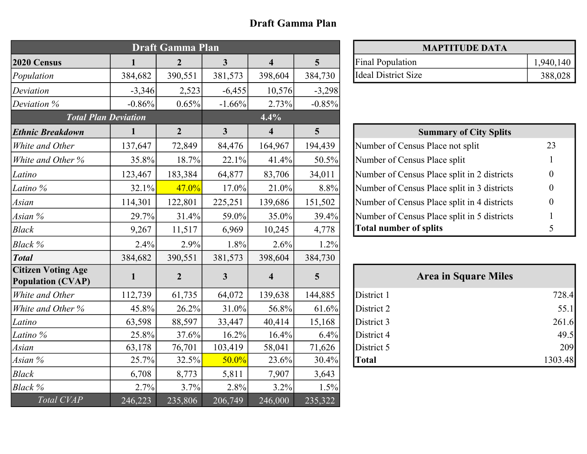#### Draft Gamma Plan

| <b>Draft Gamma Plan</b>                               |              |                  |                         |                         |                 | <b>MAPTITUDE DATA</b>                       |           |  |
|-------------------------------------------------------|--------------|------------------|-------------------------|-------------------------|-----------------|---------------------------------------------|-----------|--|
| 2020 Census                                           | 1            | $\overline{2}$   | $\overline{\mathbf{3}}$ | $\overline{\mathbf{4}}$ | $5\overline{)}$ | <b>Final Population</b>                     | 1,940,140 |  |
| Population                                            | 384,682      | 390,551          | 381,573                 | 398,604                 | 384,730         | <b>Ideal District Size</b>                  | 388,028   |  |
| Deviation                                             | $-3,346$     | 2,523            | $-6,455$                | 10,576                  | $-3,298$        |                                             |           |  |
| Deviation %                                           | $-0.86%$     | 0.65%            | $-1.66%$                | 2.73%                   | $-0.85%$        |                                             |           |  |
| <b>Total Plan Deviation</b>                           |              |                  |                         | 4.4%                    |                 |                                             |           |  |
| <b>Ethnic Breakdown</b>                               | $\mathbf{1}$ | $\overline{2}$   | $\mathbf{3}$            | $\overline{\mathbf{4}}$ | 5               | <b>Summary of City Splits</b>               |           |  |
| White and Other                                       | 137,647      | 72,849           | 84,476                  | 164,967                 | 194,439         | Number of Census Place not split            | 23        |  |
| White and Other %                                     | 35.8%        | 18.7%            | 22.1%                   | 41.4%                   | 50.5%           | Number of Census Place split                |           |  |
| Latino                                                | 123,467      | 183,384          | 64,877                  | 83,706                  | 34,011          | Number of Census Place split in 2 districts | $\Omega$  |  |
| Latino %                                              | 32.1%        | 47.0%            | 17.0%                   | 21.0%                   | 8.8%            | Number of Census Place split in 3 districts | $\Omega$  |  |
| Asian                                                 | 114,301      | 122,801          | 225,251                 | 139,686                 | 151,502         | Number of Census Place split in 4 districts | 0         |  |
| Asian %                                               | 29.7%        | 31.4%            | 59.0%                   | 35.0%                   | 39.4%           | Number of Census Place split in 5 districts |           |  |
| <b>Black</b>                                          | 9,267        | 11,517           | 6,969                   | 10,245                  | 4,778           | <b>Total number of splits</b>               | 5         |  |
| Black %                                               | 2.4%         | 2.9%             | 1.8%                    | 2.6%                    | 1.2%            |                                             |           |  |
| <b>Total</b>                                          | 384,682      | 390,551          | 381,573                 | 398,604                 | 384,730         |                                             |           |  |
| <b>Citizen Voting Age</b><br><b>Population (CVAP)</b> | 1            | $\boldsymbol{2}$ | $\mathbf{3}$            | $\overline{\mathbf{4}}$ | 5               | <b>Area in Square Miles</b>                 |           |  |
| White and Other                                       | 112,739      | 61,735           | 64,072                  | 139,638                 | 144,885         | District 1                                  | 728.4     |  |
| White and Other %                                     | 45.8%        | 26.2%            | 31.0%                   | 56.8%                   | 61.6%           | District 2                                  | 55.1      |  |
| Latino                                                | 63,598       | 88,597           | 33,447                  | 40,414                  | 15,168          | District 3                                  | 261.6     |  |
| Latino %                                              | 25.8%        | 37.6%            | 16.2%                   | 16.4%                   | 6.4%            | District 4                                  | 49.5      |  |
| Asian                                                 | 63,178       | 76,701           | 103,419                 | 58,041                  | 71,626          | District 5                                  | 209       |  |
| Asian %                                               | 25.7%        | 32.5%            | 50.0%                   | 23.6%                   | 30.4%           | <b>Total</b>                                | 1303.48   |  |
| <b>Black</b>                                          | 6,708        | 8,773            | 5,811                   | 7,907                   | 3,643           |                                             |           |  |
| Black %                                               | 2.7%         | 3.7%             | 2.8%                    | 3.2%                    | 1.5%            |                                             |           |  |
| Total CVAP                                            | 246,223      | 235,806          | 206,749                 | 246,000                 | 235,322         |                                             |           |  |

| <b>MAPTITUDE DATA</b>   |           |
|-------------------------|-----------|
| <b>Final Population</b> | 1,940,140 |
| Ideal District Size     | 388,028   |

| <b>Summary of City Splits</b>               |    |  |  |  |  |  |
|---------------------------------------------|----|--|--|--|--|--|
| Number of Census Place not split            | 23 |  |  |  |  |  |
| Number of Census Place split                |    |  |  |  |  |  |
| Number of Census Place split in 2 districts |    |  |  |  |  |  |
| Number of Census Place split in 3 districts |    |  |  |  |  |  |
| Number of Census Place split in 4 districts |    |  |  |  |  |  |
| Number of Census Place split in 5 districts |    |  |  |  |  |  |
| <b>Total number of splits</b>               |    |  |  |  |  |  |

|              | <b>Area in Square Miles</b> |
|--------------|-----------------------------|
| District 1   | 728.4                       |
| District 2   | 55.1                        |
| District 3   | 261.6                       |
| District 4   | 49.5                        |
| District 5   | 209                         |
| <b>Total</b> | 1303.48                     |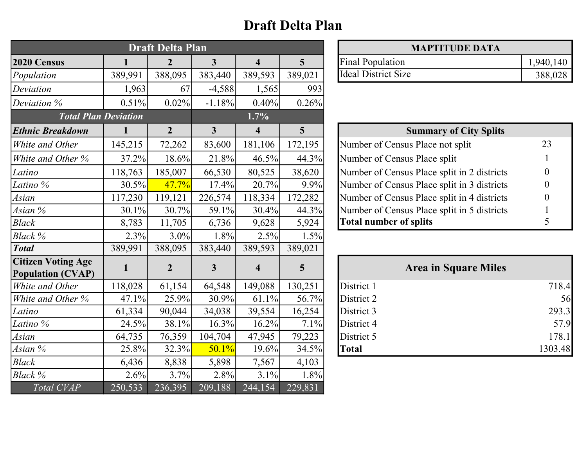### Draft Delta Plan

| <b>Draft Delta Plan</b>                               |         |                |                         | <b>MAPTITUDE DATA</b>   |                 |                                             |           |
|-------------------------------------------------------|---------|----------------|-------------------------|-------------------------|-----------------|---------------------------------------------|-----------|
| 2020 Census                                           |         | $\overline{2}$ | $\overline{\mathbf{3}}$ | $\overline{\mathbf{4}}$ | $5\overline{)}$ | <b>Final Population</b>                     | 1,940,140 |
| Population                                            | 389,991 | 388,095        | 383,440                 | 389,593                 | 389,021         | <b>Ideal District Size</b>                  | 388,028   |
| Deviation                                             | 1,963   | 67             | $-4,588$                | 1,565                   | 993             |                                             |           |
| Deviation %                                           | 0.51%   | 0.02%          | $-1.18%$                | 0.40%                   | 0.26%           |                                             |           |
| <b>Total Plan Deviation</b>                           |         |                |                         | 1.7%                    |                 |                                             |           |
| <b>Ethnic Breakdown</b>                               |         | $\overline{2}$ | $\mathbf{3}$            | $\overline{\mathbf{4}}$ | $5\phantom{.0}$ | <b>Summary of City Splits</b>               |           |
| White and Other                                       | 145,215 | 72,262         | 83,600                  | 181,106                 | 172,195         | Number of Census Place not split            | 23        |
| White and Other %                                     | 37.2%   | 18.6%          | 21.8%                   | 46.5%                   | 44.3%           | Number of Census Place split                |           |
| Latino                                                | 118,763 | 185,007        | 66,530                  | 80,525                  | 38,620          | Number of Census Place split in 2 districts | $\theta$  |
| Latino %                                              | 30.5%   | 47.7%          | 17.4%                   | 20.7%                   | 9.9%            | Number of Census Place split in 3 districts | 0         |
| Asian                                                 | 117,230 | 119,121        | 226,574                 | 118,334                 | 172,282         | Number of Census Place split in 4 districts | $\Omega$  |
| Asian %                                               | 30.1%   | 30.7%          | 59.1%                   | 30.4%                   | 44.3%           | Number of Census Place split in 5 districts |           |
| <b>Black</b>                                          | 8,783   | 11,705         | 6,736                   | 9,628                   | 5,924           | <b>Total number of splits</b>               | 5         |
| Black %                                               | 2.3%    | $3.0\%$        | 1.8%                    | 2.5%                    | 1.5%            |                                             |           |
| <b>Total</b>                                          | 389,991 | 388,095        | 383,440                 | 389,593                 | 389,021         |                                             |           |
| <b>Citizen Voting Age</b><br><b>Population (CVAP)</b> | 1       | $\overline{2}$ | 3                       | $\overline{\mathbf{4}}$ | $5\overline{)}$ | <b>Area in Square Miles</b>                 |           |
| White and Other                                       | 118,028 | 61,154         | 64,548                  | 149,088                 | 130,251         | District 1                                  | 718.4     |
| White and Other %                                     | 47.1%   | 25.9%          | 30.9%                   | 61.1%                   | 56.7%           | District 2                                  | 56        |
| Latino                                                | 61,334  | 90,044         | 34,038                  | 39,554                  | 16,254          | District 3                                  | 293.3     |
| Latino %                                              | 24.5%   | 38.1%          | 16.3%                   | 16.2%                   | 7.1%            | District 4                                  | 57.9      |
| Asian                                                 | 64,735  | 76,359         | 104,704                 | 47,945                  | 79,223          | District 5                                  | 178.1     |
| Asian %                                               | 25.8%   | 32.3%          | 50.1%                   | 19.6%                   | 34.5%           | <b>Total</b>                                | 1303.48   |
| <b>Black</b>                                          | 6,436   | 8,838          | 5,898                   | 7,567                   | 4,103           |                                             |           |
| Black %                                               | 2.6%    | 3.7%           | 2.8%                    | 3.1%                    | 1.8%            |                                             |           |
| Total CVAP                                            | 250,533 | 236,395        | 209,188                 | 244,154                 | 229,831         |                                             |           |

| <b>MAPTITUDE DATA</b>        |           |  |
|------------------------------|-----------|--|
| <b>Final Population</b>      | 1,940,140 |  |
| <b>I</b> Ideal District Size | 388,028   |  |

| <b>Summary of City Splits</b>               |    |  |
|---------------------------------------------|----|--|
| Number of Census Place not split            | 23 |  |
| Number of Census Place split                |    |  |
| Number of Census Place split in 2 districts |    |  |
| Number of Census Place split in 3 districts |    |  |
| Number of Census Place split in 4 districts |    |  |
| Number of Census Place split in 5 districts |    |  |
| <b>Total number of splits</b>               |    |  |

|              | <b>Area in Square Miles</b> |         |
|--------------|-----------------------------|---------|
| District 1   |                             | 718.4   |
| District 2   |                             | 56      |
| District 3   |                             | 293.3   |
| District 4   |                             | 57.9    |
| District 5   |                             | 178.1   |
| <b>Total</b> |                             | 1303.48 |